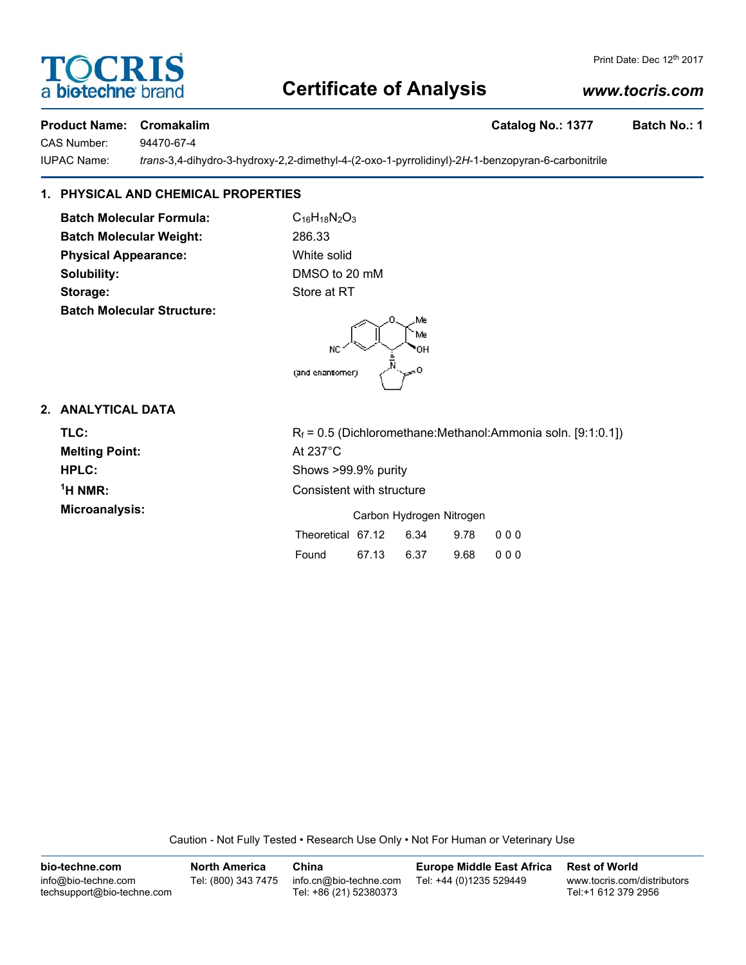# **Certificate of Analysis**

# *www.tocris.com*

Print Date: Dec 12<sup>th</sup> 2017

#### **Product Name: Cromakalim Catalog No.: 1377 Batch No.: 1**

IUPAC Name: *trans*-3,4-dihydro-3-hydroxy-2,2-dimethyl-4-(2-oxo-1-pyrrolidinyl)-2*H*-1-benzopyran-6-carbonitrile

# **1. PHYSICAL AND CHEMICAL PROPERTIES**

**Batch Molecular Formula:** C<sub>16</sub>H<sub>18</sub>N<sub>2</sub>O<sub>3</sub> **Batch Molecular Weight:** 286.33 **Physical Appearance:** White solid **Solubility:** DMSO to 20 mM **Storage:** Store at RT **Batch Molecular Structure:**



## **2. ANALYTICAL DATA**

**Melting Point:** At 237°C  $<sup>1</sup>H NMR$ :</sup>

**TLC:** R<sub>f</sub> = 0.5 (Dichloromethane:Methanol:Ammonia soln. [9:1:0.1]) **HPLC:** Shows >99.9% purity **Consistent with structure Microanalysis:** Microanalysis: **Carbon Hydrogen Nitrogen** 

| Theoretical 67.12 |       | 6.34 | 9.78 000 |          |
|-------------------|-------|------|----------|----------|
| Found             | 67.13 | 6.37 |          | 9.68 000 |

Caution - Not Fully Tested • Research Use Only • Not For Human or Veterinary Use



CAS Number: 94470-67-4